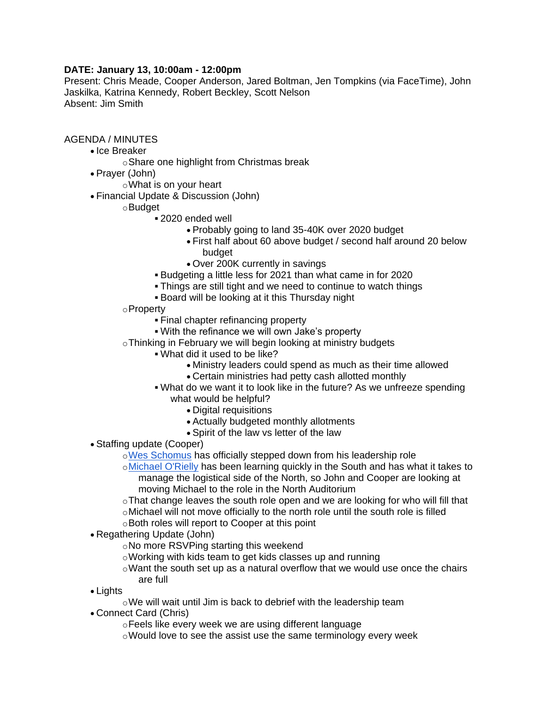## **DATE: January 13, 10:00am - 12:00pm**

Present: Chris Meade, Cooper Anderson, Jared Boltman, Jen Tompkins (via FaceTime), John Jaskilka, Katrina Kennedy, Robert Beckley, Scott Nelson Absent: Jim Smith

## AGENDA / MINUTES

- Ice Breaker
	- oShare one highlight from Christmas break
- Prayer (John)
	- oWhat is on your heart
- Financial Update & Discussion (John)
	- oBudget
		- 2020 ended well
			- Probably going to land 35-40K over 2020 budget
			- First half about 60 above budget / second half around 20 below budget
			- Over 200K currently in savings
		- Budgeting a little less for 2021 than what came in for 2020
		- Things are still tight and we need to continue to watch things
		- Board will be looking at it this Thursday night
	- oProperty
		- Final chapter refinancing property
		- With the refinance we will own Jake's property
	- oThinking in February we will begin looking at ministry budgets
		- What did it used to be like?
			- Ministry leaders could spend as much as their time allowed
			- Certain ministries had petty cash allotted monthly
		- What do we want it to look like in the future? As we unfreeze spending what would be helpful?
			- Digital requisitions
			- Actually budgeted monthly allotments
			- Spirit of the law vs letter of the law
- Staffing update (Cooper)
	- o[Wes Schomus](mailto:wes@mstar.church) has officially stepped down from his leadership role
	- o[Michael O'Rielly](mailto:michael@mstar.church) has been learning quickly in the South and has what it takes to manage the logistical side of the North, so John and Cooper are looking at moving Michael to the role in the North Auditorium
	- oThat change leaves the south role open and we are looking for who will fill that oMichael will not move officially to the north role until the south role is filled
	- oBoth roles will report to Cooper at this point
- Regathering Update (John)
	- oNo more RSVPing starting this weekend
	- oWorking with kids team to get kids classes up and running
	- oWant the south set up as a natural overflow that we would use once the chairs are full
- Lights
	- oWe will wait until Jim is back to debrief with the leadership team
- Connect Card (Chris)
	- oFeels like every week we are using different language
	- oWould love to see the assist use the same terminology every week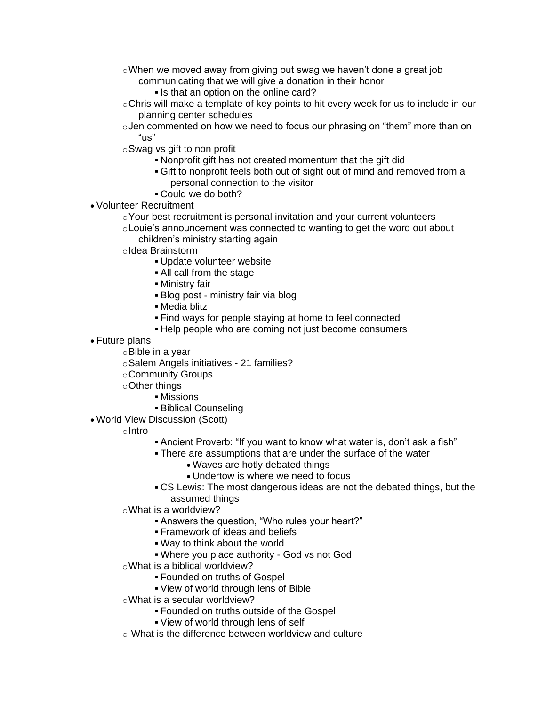- oWhen we moved away from giving out swag we haven't done a great job communicating that we will give a donation in their honor
	- Is that an option on the online card?
- $\circ$ Chris will make a template of key points to hit every week for us to include in our planning center schedules
- oJen commented on how we need to focus our phrasing on "them" more than on "us"
- oSwag vs gift to non profit
	- Nonprofit gift has not created momentum that the gift did
	- Gift to nonprofit feels both out of sight out of mind and removed from a personal connection to the visitor
	- Could we do both?
- Volunteer Recruitment
	- $\circ$ Your best recruitment is personal invitation and your current volunteers oLouie's announcement was connected to wanting to get the word out about
		- children's ministry starting again
	- oIdea Brainstorm
		- Update volunteer website
		- All call from the stage
		- Ministry fair
		- Blog post ministry fair via blog
		- Media blitz
		- Find ways for people staying at home to feel connected
		- Help people who are coming not just become consumers
- Future plans
	- oBible in a year
	- oSalem Angels initiatives 21 families?
	- oCommunity Groups
	- oOther things
		- Missions
		- Biblical Counseling
- World View Discussion (Scott)
	- oIntro
- Ancient Proverb: "If you want to know what water is, don't ask a fish"
- There are assumptions that are under the surface of the water
	- Waves are hotly debated things
	- Undertow is where we need to focus
- CS Lewis: The most dangerous ideas are not the debated things, but the assumed things
- oWhat is a worldview?
	- Answers the question, "Who rules your heart?"
	- Framework of ideas and beliefs
	- Way to think about the world
	- Where you place authority God vs not God
- oWhat is a biblical worldview?
	- Founded on truths of Gospel
	- View of world through lens of Bible
- oWhat is a secular worldview?
	- Founded on truths outside of the Gospel
	- View of world through lens of self
- $\circ$  What is the difference between worldview and culture